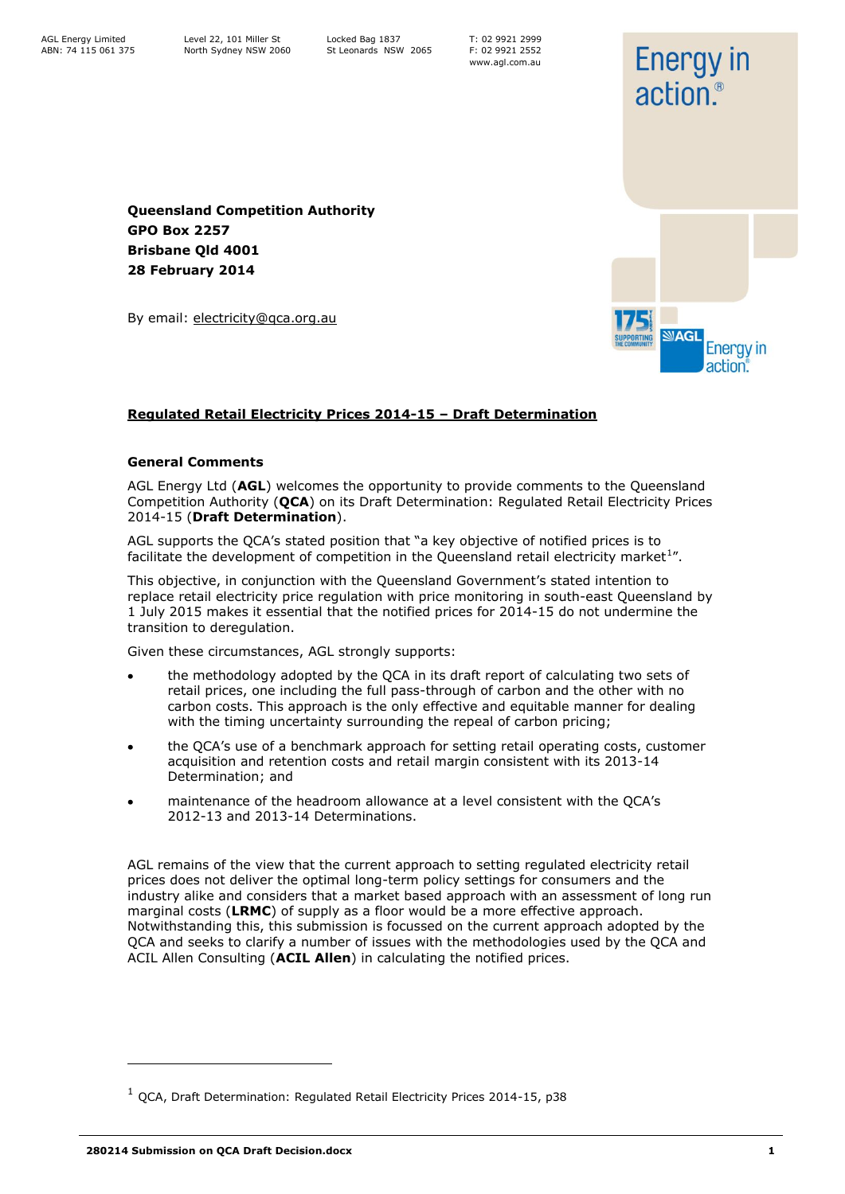T: 02 9921 2999 F: 02 9921 2552 www.agl.com.au

**Energy in** 

action.<sup>®</sup>

**NAGL** 

**Energy** in action<sup>®</sup>

**Queensland Competition Authority GPO Box 2257 Brisbane Qld 4001 28 February 2014**

By email: electricity@qca.org.au

### **Regulated Retail Electricity Prices 2014-15 – Draft Determination**

#### **General Comments**

AGL Energy Ltd (**AGL**) welcomes the opportunity to provide comments to the Queensland Competition Authority (**QCA**) on its Draft Determination: Regulated Retail Electricity Prices 2014-15 (**Draft Determination**).

AGL supports the QCA"s stated position that "a key objective of notified prices is to facilitate the development of competition in the Queensland retail electricity market<sup>1</sup>".

This objective, in conjunction with the Queensland Government's stated intention to replace retail electricity price regulation with price monitoring in south-east Queensland by 1 July 2015 makes it essential that the notified prices for 2014-15 do not undermine the transition to deregulation.

Given these circumstances, AGL strongly supports:

- the methodology adopted by the QCA in its draft report of calculating two sets of  $\bullet$ retail prices, one including the full pass-through of carbon and the other with no carbon costs. This approach is the only effective and equitable manner for dealing with the timing uncertainty surrounding the repeal of carbon pricing;
- the QCA"s use of a benchmark approach for setting retail operating costs, customer acquisition and retention costs and retail margin consistent with its 2013-14 Determination; and
- maintenance of the headroom allowance at a level consistent with the QCA"s 2012-13 and 2013-14 Determinations.

AGL remains of the view that the current approach to setting regulated electricity retail prices does not deliver the optimal long-term policy settings for consumers and the industry alike and considers that a market based approach with an assessment of long run marginal costs (**LRMC**) of supply as a floor would be a more effective approach. Notwithstanding this, this submission is focussed on the current approach adopted by the QCA and seeks to clarify a number of issues with the methodologies used by the QCA and ACIL Allen Consulting (**ACIL Allen**) in calculating the notified prices.

ł

 $1$  QCA, Draft Determination: Regulated Retail Electricity Prices 2014-15, p38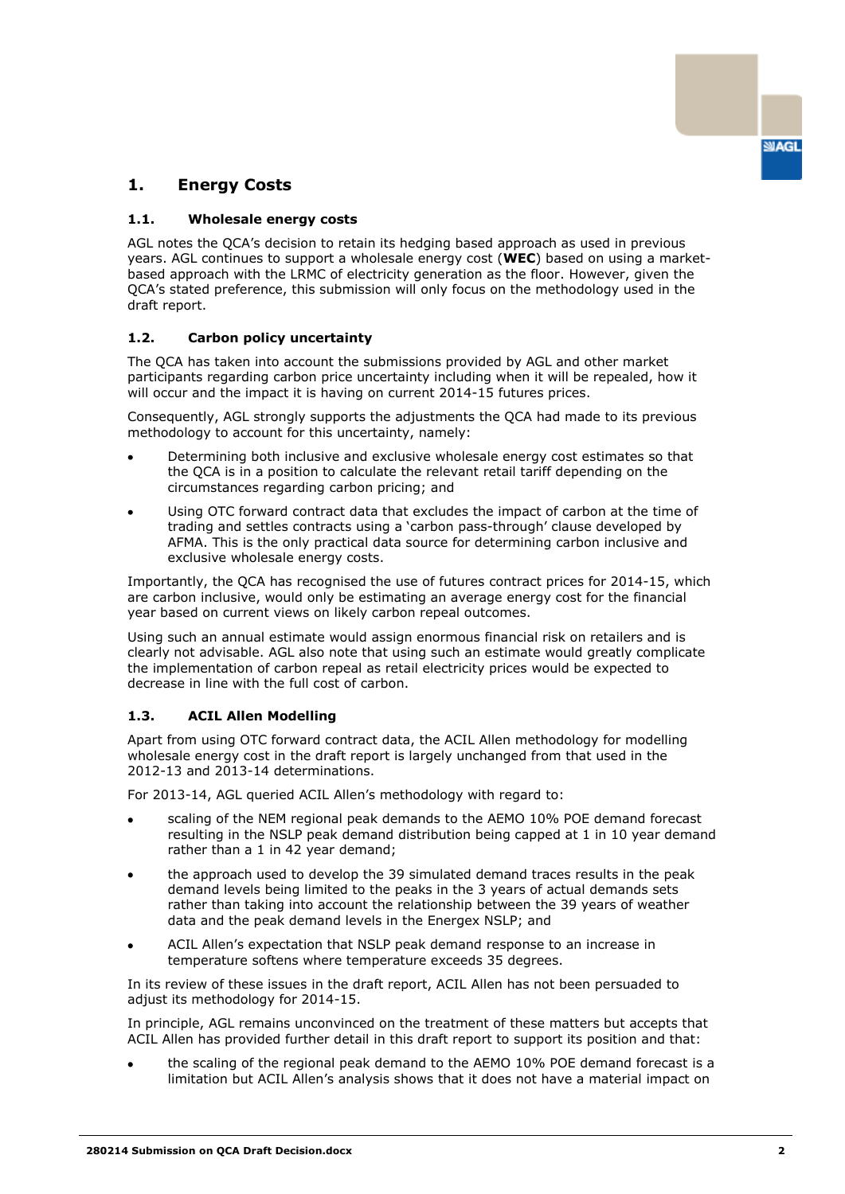

## **1. Energy Costs**

#### **1.1. Wholesale energy costs**

AGL notes the QCA"s decision to retain its hedging based approach as used in previous years. AGL continues to support a wholesale energy cost (**WEC**) based on using a marketbased approach with the LRMC of electricity generation as the floor. However, given the QCA"s stated preference, this submission will only focus on the methodology used in the draft report.

### **1.2. Carbon policy uncertainty**

The QCA has taken into account the submissions provided by AGL and other market participants regarding carbon price uncertainty including when it will be repealed, how it will occur and the impact it is having on current 2014-15 futures prices.

Consequently, AGL strongly supports the adjustments the QCA had made to its previous methodology to account for this uncertainty, namely:

- Determining both inclusive and exclusive wholesale energy cost estimates so that  $\bullet$ the QCA is in a position to calculate the relevant retail tariff depending on the circumstances regarding carbon pricing; and
- Using OTC forward contract data that excludes the impact of carbon at the time of trading and settles contracts using a "carbon pass-through" clause developed by AFMA. This is the only practical data source for determining carbon inclusive and exclusive wholesale energy costs.

Importantly, the QCA has recognised the use of futures contract prices for 2014-15, which are carbon inclusive, would only be estimating an average energy cost for the financial year based on current views on likely carbon repeal outcomes.

Using such an annual estimate would assign enormous financial risk on retailers and is clearly not advisable. AGL also note that using such an estimate would greatly complicate the implementation of carbon repeal as retail electricity prices would be expected to decrease in line with the full cost of carbon.

### **1.3. ACIL Allen Modelling**

Apart from using OTC forward contract data, the ACIL Allen methodology for modelling wholesale energy cost in the draft report is largely unchanged from that used in the 2012-13 and 2013-14 determinations.

For 2013-14, AGL queried ACIL Allen"s methodology with regard to:

- scaling of the NEM regional peak demands to the AEMO 10% POE demand forecast resulting in the NSLP peak demand distribution being capped at 1 in 10 year demand rather than a 1 in 42 year demand;
- the approach used to develop the 39 simulated demand traces results in the peak demand levels being limited to the peaks in the 3 years of actual demands sets rather than taking into account the relationship between the 39 years of weather data and the peak demand levels in the Energex NSLP; and
- ACIL Allen"s expectation that NSLP peak demand response to an increase in temperature softens where temperature exceeds 35 degrees.

In its review of these issues in the draft report, ACIL Allen has not been persuaded to adjust its methodology for 2014-15.

In principle, AGL remains unconvinced on the treatment of these matters but accepts that ACIL Allen has provided further detail in this draft report to support its position and that:

the scaling of the regional peak demand to the AEMO 10% POE demand forecast is a limitation but ACIL Allen"s analysis shows that it does not have a material impact on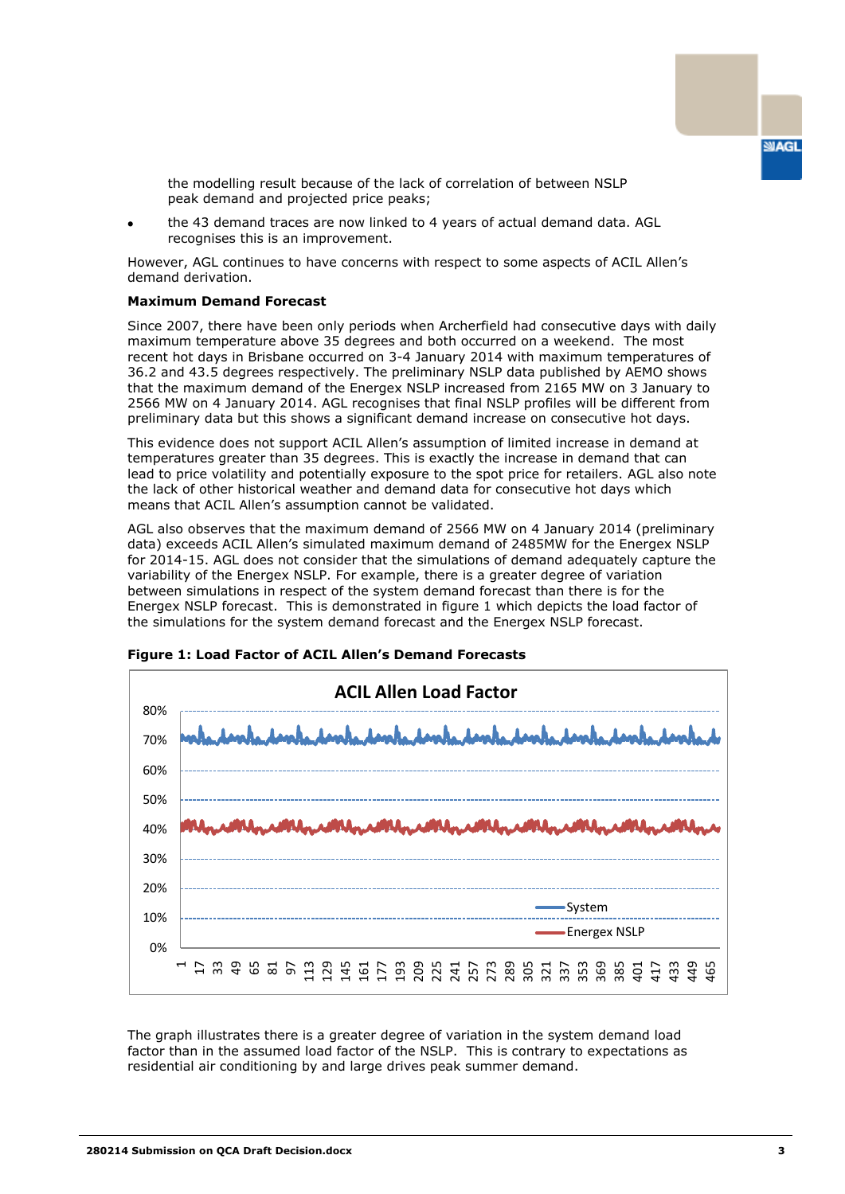

the modelling result because of the lack of correlation of between NSLP peak demand and projected price peaks;

the 43 demand traces are now linked to 4 years of actual demand data. AGL recognises this is an improvement.

However, AGL continues to have concerns with respect to some aspects of ACIL Allen"s demand derivation.

#### **Maximum Demand Forecast**

Since 2007, there have been only periods when Archerfield had consecutive days with daily maximum temperature above 35 degrees and both occurred on a weekend. The most recent hot days in Brisbane occurred on 3-4 January 2014 with maximum temperatures of 36.2 and 43.5 degrees respectively. The preliminary NSLP data published by AEMO shows that the maximum demand of the Energex NSLP increased from 2165 MW on 3 January to 2566 MW on 4 January 2014. AGL recognises that final NSLP profiles will be different from preliminary data but this shows a significant demand increase on consecutive hot days.

This evidence does not support ACIL Allen"s assumption of limited increase in demand at temperatures greater than 35 degrees. This is exactly the increase in demand that can lead to price volatility and potentially exposure to the spot price for retailers. AGL also note the lack of other historical weather and demand data for consecutive hot days which means that ACIL Allen's assumption cannot be validated.

AGL also observes that the maximum demand of 2566 MW on 4 January 2014 (preliminary data) exceeds ACIL Allen"s simulated maximum demand of 2485MW for the Energex NSLP for 2014-15. AGL does not consider that the simulations of demand adequately capture the variability of the Energex NSLP. For example, there is a greater degree of variation between simulations in respect of the system demand forecast than there is for the Energex NSLP forecast. This is demonstrated in figure 1 which depicts the load factor of the simulations for the system demand forecast and the Energex NSLP forecast.



**Figure 1: Load Factor of ACIL Allen's Demand Forecasts**

The graph illustrates there is a greater degree of variation in the system demand load factor than in the assumed load factor of the NSLP. This is contrary to expectations as residential air conditioning by and large drives peak summer demand.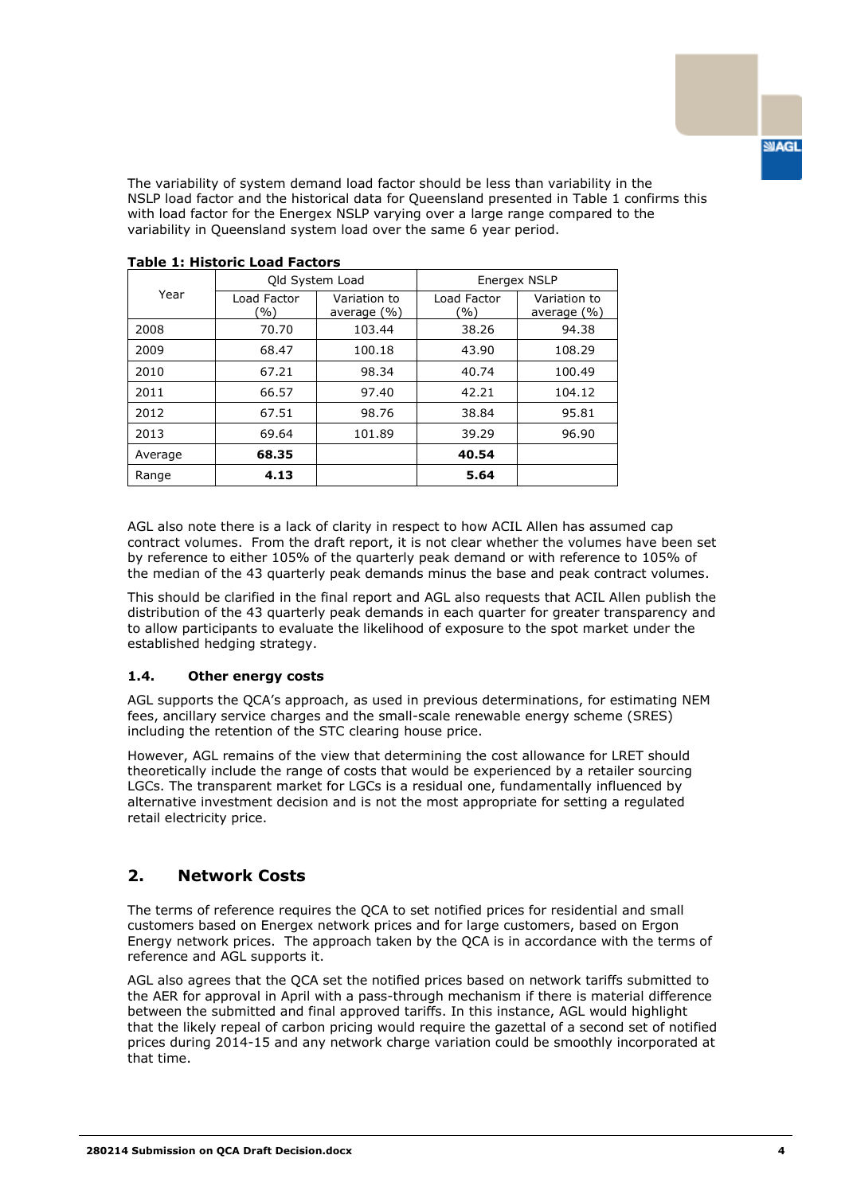**SIAGL** 

The variability of system demand load factor should be less than variability in the NSLP load factor and the historical data for Queensland presented in Table 1 confirms this with load factor for the Energex NSLP varying over a large range compared to the variability in Queensland system load over the same 6 year period.

| Year    | Old System Load       |                                | Energex NSLP       |                                 |
|---------|-----------------------|--------------------------------|--------------------|---------------------------------|
|         | Load Factor<br>$($ %) | Variation to<br>average $(\%)$ | Load Factor<br>'%) | Variation to<br>average $(\% )$ |
| 2008    | 70.70                 | 103.44                         | 38.26              | 94.38                           |
| 2009    | 68.47                 | 100.18                         | 43.90              | 108.29                          |
| 2010    | 67.21                 | 98.34                          | 40.74              | 100.49                          |
| 2011    | 66.57                 | 97.40                          | 42.21              | 104.12                          |
| 2012    | 67.51                 | 98.76                          | 38.84              | 95.81                           |
| 2013    | 69.64                 | 101.89                         | 39.29              | 96.90                           |
| Average | 68.35                 |                                | 40.54              |                                 |
| Range   | 4.13                  |                                | 5.64               |                                 |

#### **Table 1: Historic Load Factors**

AGL also note there is a lack of clarity in respect to how ACIL Allen has assumed cap contract volumes. From the draft report, it is not clear whether the volumes have been set by reference to either 105% of the quarterly peak demand or with reference to 105% of the median of the 43 quarterly peak demands minus the base and peak contract volumes.

This should be clarified in the final report and AGL also requests that ACIL Allen publish the distribution of the 43 quarterly peak demands in each quarter for greater transparency and to allow participants to evaluate the likelihood of exposure to the spot market under the established hedging strategy.

#### **1.4. Other energy costs**

AGL supports the QCA"s approach, as used in previous determinations, for estimating NEM fees, ancillary service charges and the small-scale renewable energy scheme (SRES) including the retention of the STC clearing house price.

However, AGL remains of the view that determining the cost allowance for LRET should theoretically include the range of costs that would be experienced by a retailer sourcing LGCs. The transparent market for LGCs is a residual one, fundamentally influenced by alternative investment decision and is not the most appropriate for setting a regulated retail electricity price.

## **2. Network Costs**

The terms of reference requires the QCA to set notified prices for residential and small customers based on Energex network prices and for large customers, based on Ergon Energy network prices. The approach taken by the QCA is in accordance with the terms of reference and AGL supports it.

AGL also agrees that the QCA set the notified prices based on network tariffs submitted to the AER for approval in April with a pass-through mechanism if there is material difference between the submitted and final approved tariffs. In this instance, AGL would highlight that the likely repeal of carbon pricing would require the gazettal of a second set of notified prices during 2014-15 and any network charge variation could be smoothly incorporated at that time.